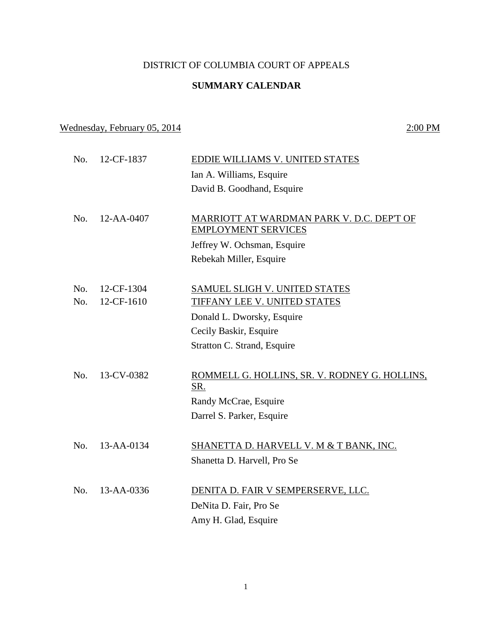### DISTRICT OF COLUMBIA COURT OF APPEALS

## **SUMMARY CALENDAR**

# Wednesday, February 05, 2014 2:00 PM

| No. | 12-CF-1837 | EDDIE WILLIAMS V. UNITED STATES                      |
|-----|------------|------------------------------------------------------|
|     |            | Ian A. Williams, Esquire                             |
|     |            | David B. Goodhand, Esquire                           |
|     |            |                                                      |
| No. | 12-AA-0407 | MARRIOTT AT WARDMAN PARK V. D.C. DEP'T OF            |
|     |            | <b>EMPLOYMENT SERVICES</b>                           |
|     |            | Jeffrey W. Ochsman, Esquire                          |
|     |            | Rebekah Miller, Esquire                              |
|     |            |                                                      |
| No. | 12-CF-1304 | SAMUEL SLIGH V. UNITED STATES                        |
| No. | 12-CF-1610 | TIFFANY LEE V. UNITED STATES                         |
|     |            | Donald L. Dworsky, Esquire                           |
|     |            | Cecily Baskir, Esquire                               |
|     |            | Stratton C. Strand, Esquire                          |
|     |            |                                                      |
| No. | 13-CV-0382 | ROMMELL G. HOLLINS, SR. V. RODNEY G. HOLLINS,<br>SR. |
|     |            | Randy McCrae, Esquire                                |
|     |            | Darrel S. Parker, Esquire                            |
|     |            |                                                      |
| No. | 13-AA-0134 | SHANETTA D. HARVELL V. M & T BANK, INC.              |
|     |            | Shanetta D. Harvell, Pro Se                          |
| No. | 13-AA-0336 | DENITA D. FAIR V SEMPERSERVE, LLC.                   |
|     |            | DeNita D. Fair, Pro Se                               |
|     |            |                                                      |
|     |            | Amy H. Glad, Esquire                                 |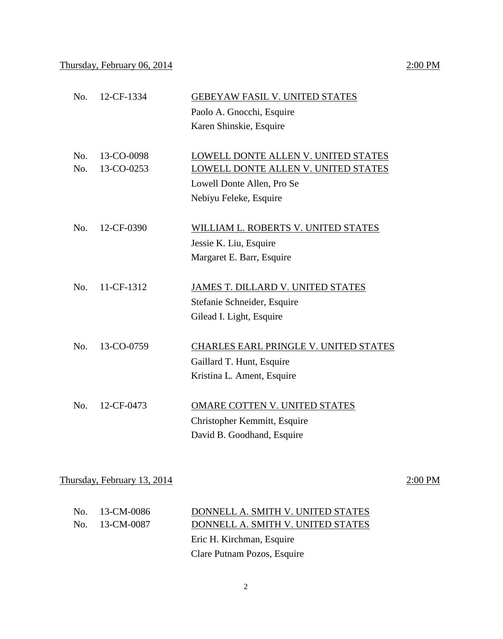# No. 12-CF-1334 **GEBEYAW FASIL V. UNITED STATES** Paolo A. Gnocchi, Esquire Karen Shinskie, Esquire

| No. 13-CO-0098<br>$\text{No.}$ 13-CO-0253 | LOWELL DONTE ALLEN V. UNITED STATES<br>LOWELL DONTE ALLEN V. UNITED STATES |
|-------------------------------------------|----------------------------------------------------------------------------|
|                                           | Lowell Donte Allen, Pro Se                                                 |
|                                           | Nebiyu Feleke, Esquire                                                     |

- No. 12-CF-0390 WILLIAM L. ROBERTS V. UNITED STATES Jessie K. Liu, Esquire Margaret E. Barr, Esquire
- No. 11-CF-1312 JAMES T. DILLARD V. UNITED STATES Stefanie Schneider, Esquire Gilead I. Light, Esquire
- No. 13-CO-0759 CHARLES EARL PRINGLE V. UNITED STATES Gaillard T. Hunt, Esquire Kristina L. Ament, Esquire
- No. 12-CF-0473 OMARE COTTEN V. UNITED STATES Christopher Kemmitt, Esquire David B. Goodhand, Esquire

Thursday, February 13, 2014  $2:00 \text{ PM}$ 

| No. 13-CM-0086 | DONNELL A. SMITH V. UNITED STATES |
|----------------|-----------------------------------|
| No. 13-CM-0087 | DONNELL A. SMITH V. UNITED STATES |
|                | Eric H. Kirchman, Esquire         |
|                | Clare Putnam Pozos, Esquire       |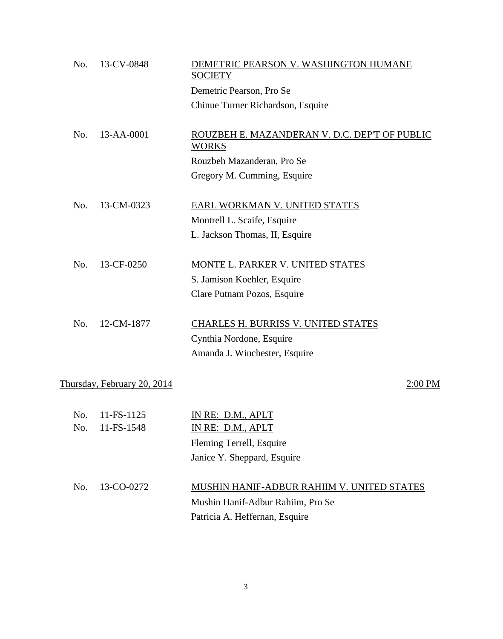| No. | 13-CV-0848                  | DEMETRIC PEARSON V. WASHINGTON HUMANE<br><b>SOCIETY</b>       |
|-----|-----------------------------|---------------------------------------------------------------|
|     |                             | Demetric Pearson, Pro Se                                      |
|     |                             | Chinue Turner Richardson, Esquire                             |
|     |                             |                                                               |
| No. | 13-AA-0001                  | ROUZBEH E. MAZANDERAN V. D.C. DEP'T OF PUBLIC<br><b>WORKS</b> |
|     |                             | Rouzbeh Mazanderan, Pro Se                                    |
|     |                             | Gregory M. Cumming, Esquire                                   |
| No. | 13-CM-0323                  | EARL WORKMAN V. UNITED STATES                                 |
|     |                             | Montrell L. Scaife, Esquire                                   |
|     |                             | L. Jackson Thomas, II, Esquire                                |
| No. | 13-CF-0250                  | MONTE L. PARKER V. UNITED STATES                              |
|     |                             | S. Jamison Koehler, Esquire                                   |
|     |                             | Clare Putnam Pozos, Esquire                                   |
| No. | 12-CM-1877                  | <b>CHARLES H. BURRISS V. UNITED STATES</b>                    |
|     |                             | Cynthia Nordone, Esquire                                      |
|     |                             | Amanda J. Winchester, Esquire                                 |
|     |                             |                                                               |
|     | Thursday, February 20, 2014 | 2:00 PM                                                       |
| No. | 11-FS-1125                  | IN RE: D.M., APLT                                             |
| No. | 11-FS-1548                  | IN RE: D.M., APLT                                             |
|     |                             | Fleming Terrell, Esquire                                      |
|     |                             | Janice Y. Sheppard, Esquire                                   |
| No. | 13-CO-0272                  | MUSHIN HANIF-ADBUR RAHIIM V. UNITED STATES                    |
|     |                             | Mushin Hanif-Adbur Rahiim, Pro Se                             |
|     |                             | Patricia A. Heffernan, Esquire                                |
|     |                             |                                                               |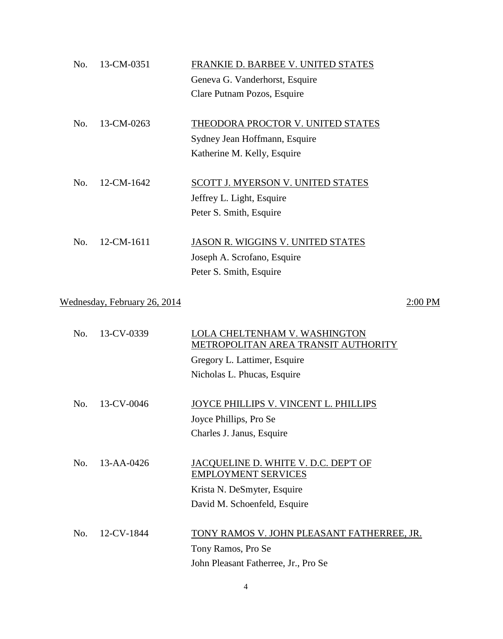| No. | 13-CM-0351                   | FRANKIE D. BARBEE V. UNITED STATES                                                                   |
|-----|------------------------------|------------------------------------------------------------------------------------------------------|
|     |                              | Geneva G. Vanderhorst, Esquire                                                                       |
|     |                              | Clare Putnam Pozos, Esquire                                                                          |
| No. | 13-CM-0263                   | THEODORA PROCTOR V. UNITED STATES                                                                    |
|     |                              | Sydney Jean Hoffmann, Esquire                                                                        |
|     |                              | Katherine M. Kelly, Esquire                                                                          |
| No. | 12-CM-1642                   | <b>SCOTT J. MYERSON V. UNITED STATES</b>                                                             |
|     |                              | Jeffrey L. Light, Esquire                                                                            |
|     |                              | Peter S. Smith, Esquire                                                                              |
| No. | 12-CM-1611                   | JASON R. WIGGINS V. UNITED STATES                                                                    |
|     |                              | Joseph A. Scrofano, Esquire                                                                          |
|     |                              | Peter S. Smith, Esquire                                                                              |
|     | Wednesday, February 26, 2014 | 2:00 PM                                                                                              |
| No. | 13-CV-0339                   | LOLA CHELTENHAM V. WASHINGTON<br>METROPOLITAN AREA TRANSIT AUTHORITY<br>Gregory L. Lattimer, Esquire |
|     |                              | Nicholas L. Phucas, Esquire                                                                          |
| No. | 13-CV-0046                   | JOYCE PHILLIPS V. VINCENT L. PHILLIPS                                                                |
|     |                              | Joyce Phillips, Pro Se                                                                               |
|     |                              | Charles J. Janus, Esquire                                                                            |
| No. | 13-AA-0426                   | JACQUELINE D. WHITE V. D.C. DEP'T OF<br><b>EMPLOYMENT SERVICES</b>                                   |
|     |                              | Krista N. DeSmyter, Esquire                                                                          |
|     |                              | David M. Schoenfeld, Esquire                                                                         |
| No. | 12-CV-1844                   | <u>TONY RAMOS V. JOHN PLEASANT FATHERREE, JR.</u>                                                    |
|     |                              | Tony Ramos, Pro Se                                                                                   |
|     |                              | John Pleasant Fatherree, Jr., Pro Se                                                                 |

4